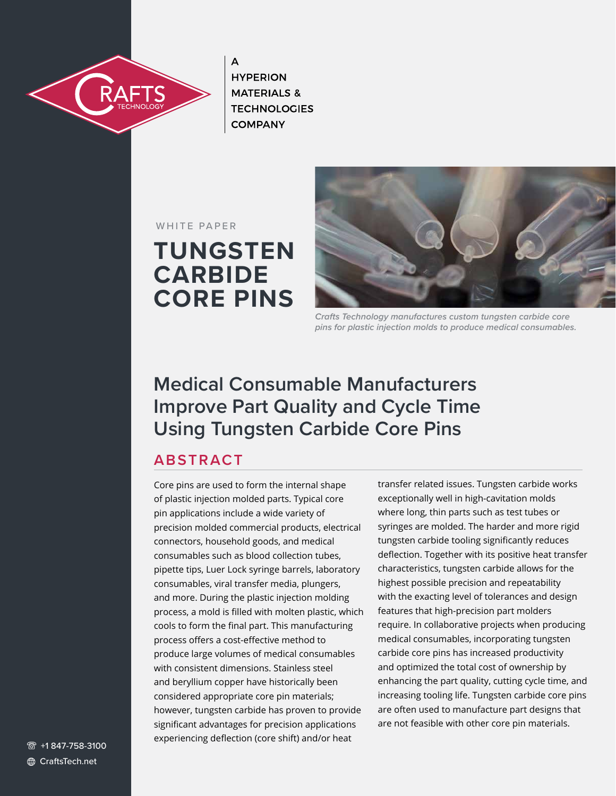

A **HYPERION MATERIALS & TECHNOLOGIES COMPANY** 

WHITE PAPER

# **TUNGSTEN CARBIDE CORE PINS**



*Crafts Technology manufactures custom tungsten carbide core pins for plastic injection molds to produce medical consumables.* 

# **Medical Consumable Manufacturers Improve Part Quality and Cycle Time Using Tungsten Carbide Core Pins**

### **ABSTRACT**

Core pins are used to form the internal shape of plastic injection molded parts. Typical core pin applications include a wide variety of precision molded commercial products, electrical connectors, household goods, and medical consumables such as blood collection tubes, pipette tips, Luer Lock syringe barrels, laboratory consumables, viral transfer media, plungers, and more. During the plastic injection molding process, a mold is filled with molten plastic, which cools to form the final part. This manufacturing process offers a cost-effective method to produce large volumes of medical consumables with consistent dimensions. Stainless steel and beryllium copper have historically been considered appropriate core pin materials; however, tungsten carbide has proven to provide significant advantages for precision applications experiencing deflection (core shift) and/or heat

transfer related issues. Tungsten carbide works exceptionally well in high-cavitation molds where long, thin parts such as test tubes or syringes are molded. The harder and more rigid tungsten carbide tooling significantly reduces deflection. Together with its positive heat transfer characteristics, tungsten carbide allows for the highest possible precision and repeatability with the exacting level of tolerances and design features that high-precision part molders require. In collaborative projects when producing medical consumables, incorporating tungsten carbide core pins has increased productivity and optimized the total cost of ownership by enhancing the part quality, cutting cycle time, and increasing tooling life. Tungsten carbide core pins are often used to manufacture part designs that are not feasible with other core pin materials.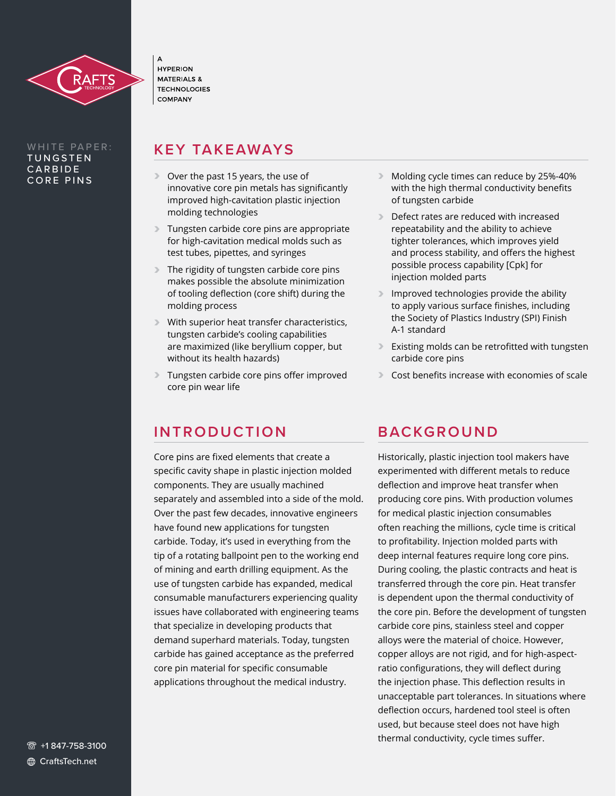

### **TUNGSTEN** CARBIDE CORE PINS

A **HYPERION** MATERIALS & **TECHNOLOGIES COMPANY** 

### WHITE PAPER: **KEY TAKEAWAYS**

- › Over the past 15 years, the use of innovative core pin metals has significantly improved high-cavitation plastic injection molding technologies
- › Tungsten carbide core pins are appropriate for high-cavitation medical molds such as test tubes, pipettes, and syringes
- › The rigidity of tungsten carbide core pins makes possible the absolute minimization of tooling deflection (core shift) during the molding process
- › With superior heat transfer characteristics, tungsten carbide's cooling capabilities are maximized (like beryllium copper, but without its health hazards)
- › Tungsten carbide core pins offer improved core pin wear life
- › Molding cycle times can reduce by 25%-40% with the high thermal conductivity benefits of tungsten carbide
- › Defect rates are reduced with increased repeatability and the ability to achieve tighter tolerances, which improves yield and process stability, and offers the highest possible process capability [Cpk] for injection molded parts
- **IMPROVED 1** Improved technologies provide the ability to apply various surface finishes, including the Society of Plastics Industry (SPI) Finish A-1 standard
- › Existing molds can be retrofitted with tungsten carbide core pins
- › Cost benefits increase with economies of scale

## **INTRODUCTION**

Core pins are fixed elements that create a specific cavity shape in plastic injection molded components. They are usually machined separately and assembled into a side of the mold. Over the past few decades, innovative engineers have found new applications for tungsten carbide. Today, it's used in everything from the tip of a rotating ballpoint pen to the working end of mining and earth drilling equipment. As the use of tungsten carbide has expanded, medical consumable manufacturers experiencing quality issues have collaborated with engineering teams that specialize in developing products that demand superhard materials. Today, tungsten carbide has gained acceptance as the preferred core pin material for specific consumable applications throughout the medical industry.

## **BACKGROUND**

Historically, plastic injection tool makers have experimented with different metals to reduce deflection and improve heat transfer when producing core pins. With production volumes for medical plastic injection consumables often reaching the millions, cycle time is critical to profitability. Injection molded parts with deep internal features require long core pins. During cooling, the plastic contracts and heat is transferred through the core pin. Heat transfer is dependent upon the thermal conductivity of the core pin. Before the development of tungsten carbide core pins, stainless steel and copper alloys were the material of choice. However, copper alloys are not rigid, and for high-aspectratio configurations, they will deflect during the injection phase. This deflection results in unacceptable part tolerances. In situations where deflection occurs, hardened tool steel is often used, but because steel does not have high thermal conductivity, cycle times suffer.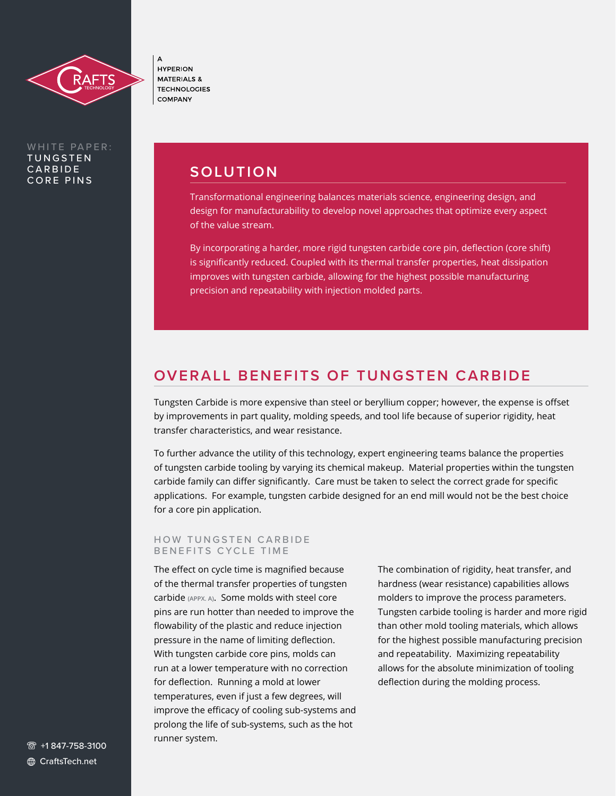

WHITE PAPER: **TUNGSTEN** CARBIDE CORE PINS

A **HYPERION MATERIALS & TECHNOLOGIES COMPANY** 

### **SOLUTION**

Transformational engineering balances materials science, engineering design, and design for manufacturability to develop novel approaches that optimize every aspect of the value stream.

By incorporating a harder, more rigid tungsten carbide core pin, deflection (core shift) is significantly reduced. Coupled with its thermal transfer properties, heat dissipation improves with tungsten carbide, allowing for the highest possible manufacturing precision and repeatability with injection molded parts.

### **OVERALL BENEFITS OF TUNGSTEN CARBIDE**

Tungsten Carbide is more expensive than steel or beryllium copper; however, the expense is offset by improvements in part quality, molding speeds, and tool life because of superior rigidity, heat transfer characteristics, and wear resistance.

To further advance the utility of this technology, expert engineering teams balance the properties of tungsten carbide tooling by varying its chemical makeup. Material properties within the tungsten carbide family can differ significantly. Care must be taken to select the correct grade for specific applications. For example, tungsten carbide designed for an end mill would not be the best choice for a core pin application.

#### HOW TUNGSTEN CARBIDE BENEFITS CYCLE TIME

The effect on cycle time is magnified because of the thermal transfer properties of tungsten carbide **(APPX. A)**. Some molds with steel core pins are run hotter than needed to improve the flowability of the plastic and reduce injection pressure in the name of limiting deflection. With tungsten carbide core pins, molds can run at a lower temperature with no correction for deflection. Running a mold at lower temperatures, even if just a few degrees, will improve the efficacy of cooling sub-systems and prolong the life of sub-systems, such as the hot runner system.

The combination of rigidity, heat transfer, and hardness (wear resistance) capabilities allows molders to improve the process parameters. Tungsten carbide tooling is harder and more rigid than other mold tooling materials, which allows for the highest possible manufacturing precision and repeatability. Maximizing repeatability allows for the absolute minimization of tooling deflection during the molding process.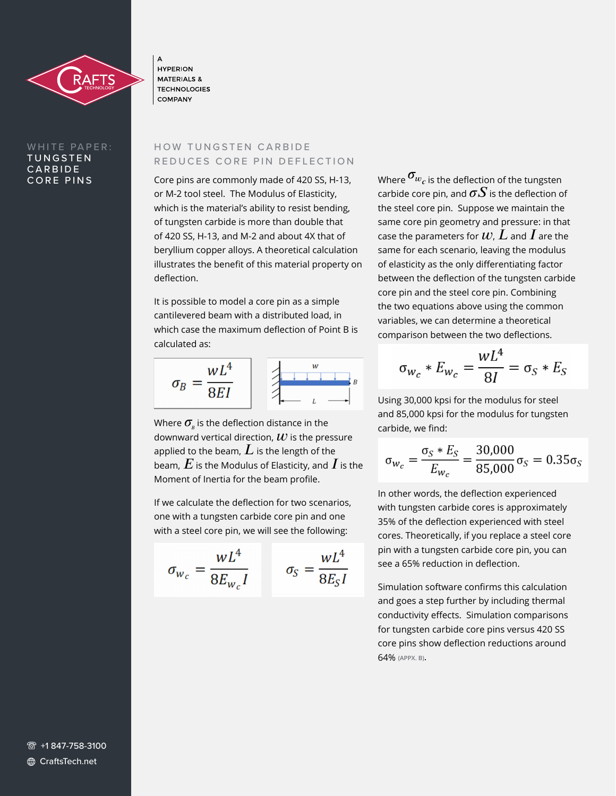

#### WHITE PAPER: TUNGSTEN CARBIDE CORE PINS

A **HYPERION** MATERIALS & **TECHNOLOGIES COMPANY** 

#### HOW TUNGSTEN CARBIDE REDUCES CORE PIN DEFLECTION

Core pins are commonly made of 420 SS, H-13, or M-2 tool steel. The Modulus of Elasticity, which is the material's ability to resist bending, of tungsten carbide is more than double that of 420 SS, H-13, and M-2 and about 4X that of beryllium copper alloys. A theoretical calculation illustrates the benefit of this material property on deflection.

It is possible to model a core pin as a simple cantilevered beam with a distributed load, in which case the maximum deflection of Point B is calculated as:

$$
\sigma_B = \frac{wL^4}{8EI}
$$

Where  $\sigma_{\scriptscriptstyle R}$  is the deflection distance in the downward vertical direction,  $\boldsymbol{w}$  is the pressure applied to the beam,  $L$  is the length of the beam,  $E$  is the Modulus of Elasticity, and  $\boldsymbol{I}$  is the Moment of Inertia for the beam profile.

If we calculate the deflection for two scenarios, one with a tungsten carbide core pin and one with a steel core pin, we will see the following:

$$
\sigma_{w_c} = \frac{wL^4}{8E_{w_c}I} \qquad \sigma_S = \frac{wL^4}{8E_SI}
$$

Where  $\sigma_{w_c}$  is the deflection of the tungsten carbide core pin, and  $\sigma S$  is the deflection of the steel core pin. Suppose we maintain the same core pin geometry and pressure: in that case the parameters for  $w$  ,  $L$  and  $I$  are the same for each scenario, leaving the modulus of elasticity as the only differentiating factor between the deflection of the tungsten carbide core pin and the steel core pin. Combining the two equations above using the common variables, we can determine a theoretical comparison between the two deflections.

$$
\sigma_{w_c} * E_{w_c} = \frac{wL^4}{8I} = \sigma_S * E_S
$$

Using 30,000 kpsi for the modulus for steel and 85,000 kpsi for the modulus for tungsten carbide, we find:

$$
\sigma_{w_c} = \frac{\sigma_S * E_S}{E_{w_c}} = \frac{30,000}{85,000} \sigma_S = 0.35 \sigma_S
$$

In other words, the deflection experienced with tungsten carbide cores is approximately 35% of the deflection experienced with steel cores. Theoretically, if you replace a steel core pin with a tungsten carbide core pin, you can see a 65% reduction in deflection.

Simulation software confirms this calculation and goes a step further by including thermal conductivity effects. Simulation comparisons for tungsten carbide core pins versus 420 SS core pins show deflection reductions around 64% **(APPX. B)**.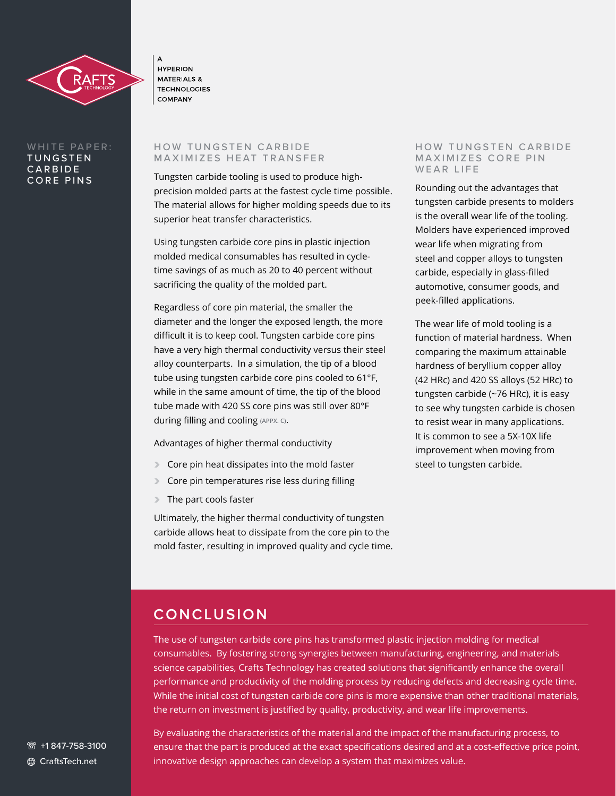

#### WHITE PAPER: **TUNGSTEN CARBIDE** CORE PINS

A **HYPERION MATERIALS & TECHNOLOGIES COMPANY** 

#### HOW TUNGSTEN CARBIDE MAXIMIZES HEAT TRANSFER

Tungsten carbide tooling is used to produce highprecision molded parts at the fastest cycle time possible. The material allows for higher molding speeds due to its superior heat transfer characteristics.

Using tungsten carbide core pins in plastic injection molded medical consumables has resulted in cycletime savings of as much as 20 to 40 percent without sacrificing the quality of the molded part.

Regardless of core pin material, the smaller the diameter and the longer the exposed length, the more difficult it is to keep cool. Tungsten carbide core pins have a very high thermal conductivity versus their steel alloy counterparts. In a simulation, the tip of a blood tube using tungsten carbide core pins cooled to 61°F, while in the same amount of time, the tip of the blood tube made with 420 SS core pins was still over 80°F during filling and cooling **(APPX. C)**.

Advantages of higher thermal conductivity

- › Core pin heat dissipates into the mold faster
- › Core pin temperatures rise less during filling
- › The part cools faster

Ultimately, the higher thermal conductivity of tungsten carbide allows heat to dissipate from the core pin to the mold faster, resulting in improved quality and cycle time.

#### HOW TUNGSTEN CARBIDE **MAXIMIZES CORE PIN** WEAR LIFE

Rounding out the advantages that tungsten carbide presents to molders is the overall wear life of the tooling. Molders have experienced improved wear life when migrating from steel and copper alloys to tungsten carbide, especially in glass-filled automotive, consumer goods, and peek-filled applications.

The wear life of mold tooling is a function of material hardness. When comparing the maximum attainable hardness of beryllium copper alloy (42 HRc) and 420 SS alloys (52 HRc) to tungsten carbide (~76 HRc), it is easy to see why tungsten carbide is chosen to resist wear in many applications. It is common to see a 5X-10X life improvement when moving from steel to tungsten carbide.

### **CONCLUSION**

The use of tungsten carbide core pins has transformed plastic injection molding for medical consumables. By fostering strong synergies between manufacturing, engineering, and materials science capabilities, Crafts Technology has created solutions that significantly enhance the overall performance and productivity of the molding process by reducing defects and decreasing cycle time. While the initial cost of tungsten carbide core pins is more expensive than other traditional materials, the return on investment is justified by quality, productivity, and wear life improvements.

**8** +1847-758-3100 CraftsTech.net

By evaluating the characteristics of the material and the impact of the manufacturing process, to ensure that the part is produced at the exact specifications desired and at a cost-effective price point, innovative design approaches can develop a system that maximizes value.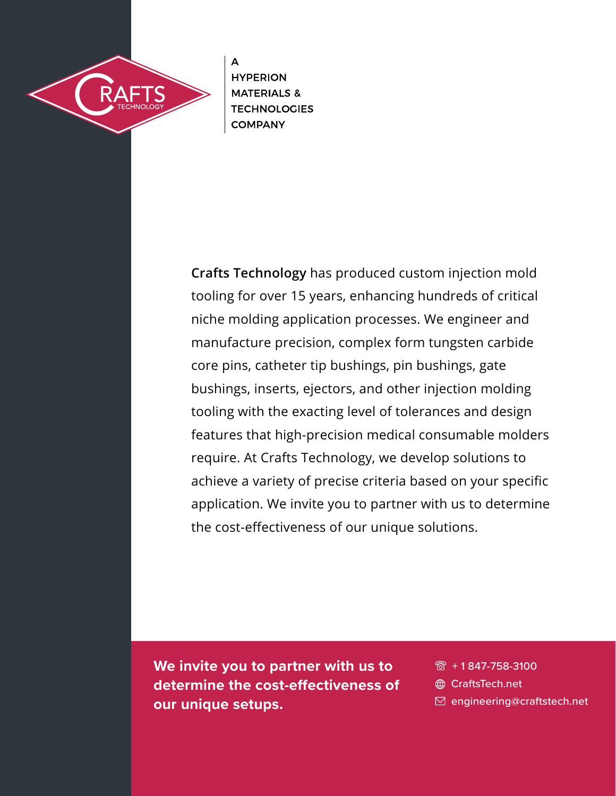

 $\overline{\mathsf{A}}$ **HYPERION MATERIALS & TECHNOLOGIES COMPANY** 

**Crafts Technology** has produced custom injection mold tooling for over 15 years, enhancing hundreds of critical niche molding application processes. We engineer and manufacture precision, complex form tungsten carbide core pins, catheter tip bushings, pin bushings, gate bushings, inserts, ejectors, and other injection molding tooling with the exacting level of tolerances and design features that high-precision medical consumable molders require. At Crafts Technology, we develop solutions to achieve a variety of precise criteria based on your specific application. We invite you to partner with us to determine the cost-effectiveness of our unique solutions.

**We invite you to partner with us to determine the cost-effectiveness of our unique setups.**

- $\circled{8}$  + 1 847-758-3100
- **ED** CraftsTech.net
- $\boxtimes$  engineering@craftstech.net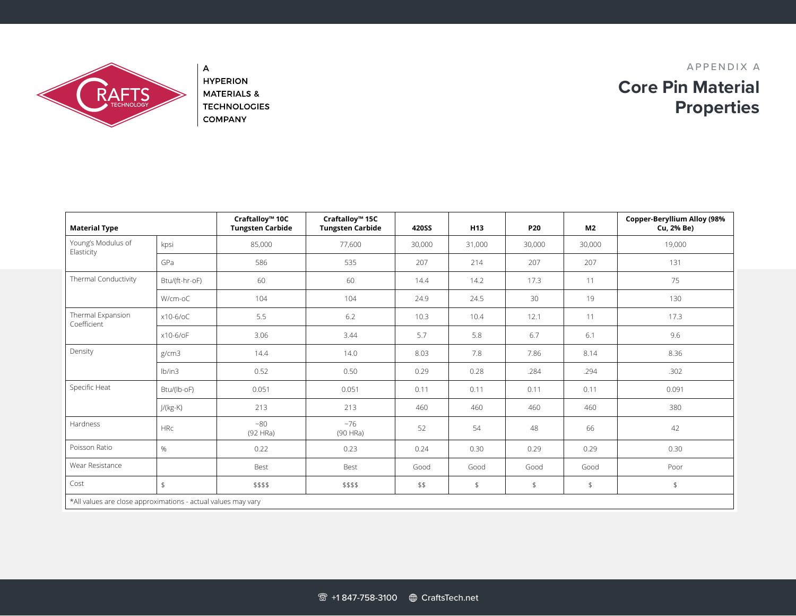

 $\boldsymbol{\mathsf{A}}$ **HYPERION MATERIALS & TECHNOLOGIES COMPANY** 

# **Core Pin Material Properties** APPENDIX A

| <b>Material Type</b>                                          |                | Craftalloy™ 10C<br><b>Tungsten Carbide</b> | Craftalloy <sup>™</sup> 15C<br><b>Tungsten Carbide</b> | <b>420SS</b> | H <sub>13</sub> | P <sub>20</sub> | M <sub>2</sub> | <b>Copper-Beryllium Alloy (98%</b><br>Cu, 2% Be) |
|---------------------------------------------------------------|----------------|--------------------------------------------|--------------------------------------------------------|--------------|-----------------|-----------------|----------------|--------------------------------------------------|
| Young's Modulus of<br>Elasticity                              | kpsi           | 85,000                                     | 77.600                                                 | 30,000       | 31,000          | 30,000          | 30,000         | 19,000                                           |
|                                                               | GPa            | 586                                        | 535                                                    | 207          | 214             | 207             | 207            | 131                                              |
| Thermal Conductivity                                          | Btu/(ft-hr-oF) | 60                                         | 60                                                     | 14.4         | 14.2            | 17.3            | 11             | 75                                               |
|                                                               | W/cm-oC        | 104                                        | 104                                                    | 24.9         | 24.5            | 30              | 19             | 130                                              |
| Thermal Expansion<br>Coefficient                              | x10-6/oC       | 5.5                                        | 6.2                                                    | 10.3         | 10.4            | 12.1            | 11             | 17.3                                             |
|                                                               | x10-6/oF       | 3.06                                       | 3.44                                                   | 5.7          | 5.8             | 6.7             | 6.1            | 9.6                                              |
| Density                                                       | g/cm3          | 14.4                                       | 14.0                                                   | 8.03         | 7.8             | 7.86            | 8.14           | 8.36                                             |
|                                                               | lb/in3         | 0.52                                       | 0.50                                                   | 0.29         | 0.28            | .284            | .294           | .302                                             |
| Specific Heat                                                 | Btu/(lb-oF)    | 0.051                                      | 0.051                                                  | 0.11         | 0.11            | 0.11            | 0.11           | 0.091                                            |
|                                                               | J/(kg-K)       | 213                                        | 213                                                    | 460          | 460             | 460             | 460            | 380                                              |
| Hardness                                                      | <b>HRC</b>     | ~80<br>(92 HRa)                            | ~176<br>(90 HRa)                                       | 52           | 54              | 48              | 66             | 42                                               |
| Poisson Ratio                                                 | $\%$           | 0.22                                       | 0.23                                                   | 0.24         | 0.30            | 0.29            | 0.29           | 0.30                                             |
| Wear Resistance                                               |                | Best                                       | Best                                                   | Good         | Good            | Good            | Good           | Poor                                             |
| Cost                                                          | $\sqrt{2}$     | \$\$\$\$                                   | \$\$\$\$                                               | \$\$         | \$              | \$              | \$             | \$                                               |
| *All values are close approximations - actual values may vary |                |                                            |                                                        |              |                 |                 |                |                                                  |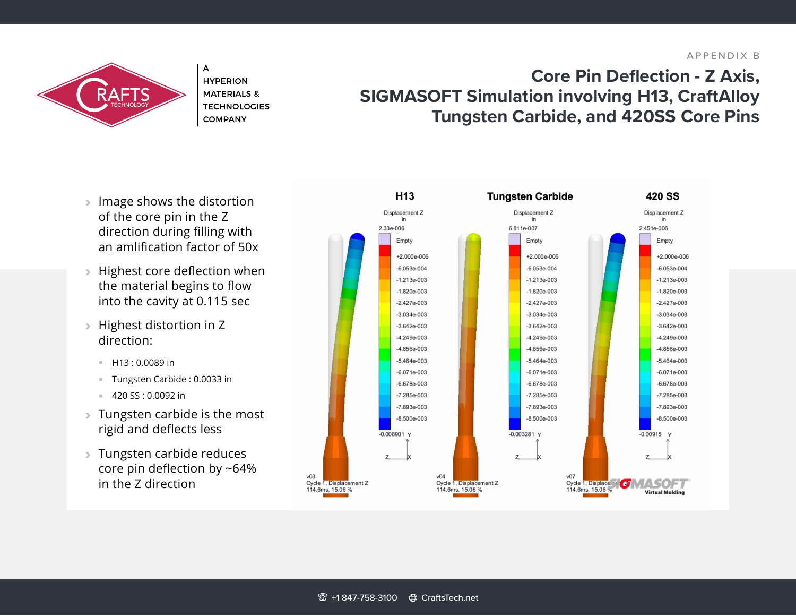#### APPENDIX B



A **HYPERION MATERIALS & TECHNOLOGIES COMPANY** 

## **Core Pin Deflection - Z Axis, SIGMASOFT Simulation involving H13, CraftAlloy Tungsten Carbide, and 420SS Core Pins**

- › Image shows the distortion of the core pin in the Z direction during filling with an amlification factor of 50x
- › Highest core deflection when the material begins to flow into the cavity at 0.115 sec
- › Highest distortion in Z direction:
	- ⋅ H13 : 0.0089 in
	- ⋅ Tungsten Carbide : 0.0033 in
	- ⋅ 420 SS : 0.0092 in
- › Tungsten carbide is the most rigid and deflects less
- › Tungsten carbide reduces core pin deflection by ~64% in the Z direction